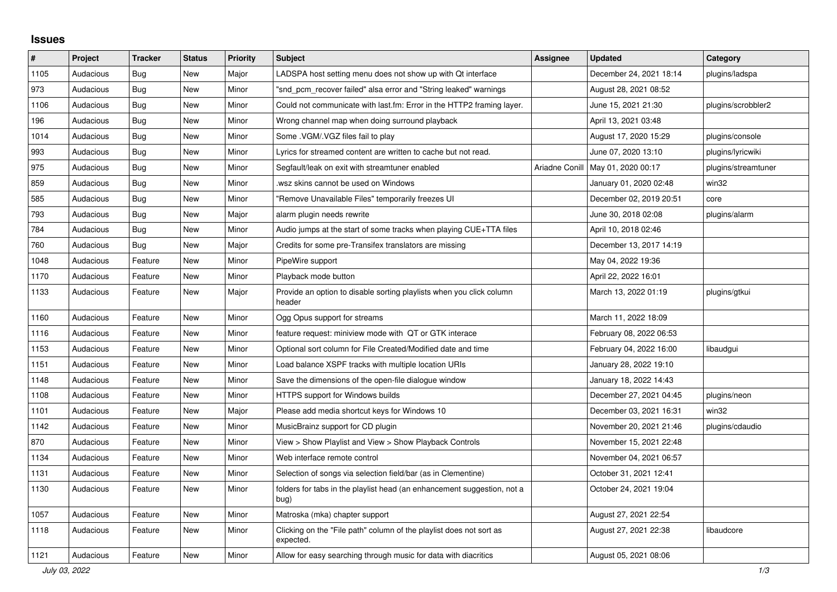## **Issues**

| $\#$ | Project   | <b>Tracker</b> | <b>Status</b> | <b>Priority</b> | <b>Subject</b>                                                                   | <b>Assignee</b> | <b>Updated</b>                      | Category            |
|------|-----------|----------------|---------------|-----------------|----------------------------------------------------------------------------------|-----------------|-------------------------------------|---------------------|
| 1105 | Audacious | <b>Bug</b>     | <b>New</b>    | Major           | LADSPA host setting menu does not show up with Qt interface                      |                 | December 24, 2021 18:14             | plugins/ladspa      |
| 973  | Audacious | Bug            | <b>New</b>    | Minor           | "snd pcm recover failed" alsa error and "String leaked" warnings                 |                 | August 28, 2021 08:52               |                     |
| 1106 | Audacious | Bug            | <b>New</b>    | Minor           | Could not communicate with last.fm: Error in the HTTP2 framing layer.            |                 | June 15, 2021 21:30                 | plugins/scrobbler2  |
| 196  | Audacious | Bug            | <b>New</b>    | Minor           | Wrong channel map when doing surround playback                                   |                 | April 13, 2021 03:48                |                     |
| 1014 | Audacious | <b>Bug</b>     | <b>New</b>    | Minor           | Some .VGM/.VGZ files fail to play                                                |                 | August 17, 2020 15:29               | plugins/console     |
| 993  | Audacious | Bug            | <b>New</b>    | Minor           | Lyrics for streamed content are written to cache but not read.                   |                 | June 07, 2020 13:10                 | plugins/lyricwiki   |
| 975  | Audacious | <b>Bug</b>     | <b>New</b>    | Minor           | Segfault/leak on exit with streamtuner enabled                                   |                 | Ariadne Conill   May 01, 2020 00:17 | plugins/streamtuner |
| 859  | Audacious | <b>Bug</b>     | <b>New</b>    | Minor           | wsz skins cannot be used on Windows                                              |                 | January 01, 2020 02:48              | win32               |
| 585  | Audacious | <b>Bug</b>     | <b>New</b>    | Minor           | "Remove Unavailable Files" temporarily freezes UI                                |                 | December 02, 2019 20:51             | core                |
| 793  | Audacious | Bug            | <b>New</b>    | Major           | alarm plugin needs rewrite                                                       |                 | June 30, 2018 02:08                 | plugins/alarm       |
| 784  | Audacious | Bug            | <b>New</b>    | Minor           | Audio jumps at the start of some tracks when playing CUE+TTA files               |                 | April 10, 2018 02:46                |                     |
| 760  | Audacious | Bug            | <b>New</b>    | Major           | Credits for some pre-Transifex translators are missing                           |                 | December 13, 2017 14:19             |                     |
| 1048 | Audacious | Feature        | <b>New</b>    | Minor           | PipeWire support                                                                 |                 | May 04, 2022 19:36                  |                     |
| 1170 | Audacious | Feature        | New           | Minor           | Playback mode button                                                             |                 | April 22, 2022 16:01                |                     |
| 1133 | Audacious | Feature        | New           | Major           | Provide an option to disable sorting playlists when you click column<br>header   |                 | March 13, 2022 01:19                | plugins/gtkui       |
| 1160 | Audacious | Feature        | New           | Minor           | Ogg Opus support for streams                                                     |                 | March 11, 2022 18:09                |                     |
| 1116 | Audacious | Feature        | <b>New</b>    | Minor           | feature request: miniview mode with QT or GTK interace                           |                 | February 08, 2022 06:53             |                     |
| 1153 | Audacious | Feature        | <b>New</b>    | Minor           | Optional sort column for File Created/Modified date and time                     |                 | February 04, 2022 16:00             | libaudgui           |
| 1151 | Audacious | Feature        | <b>New</b>    | Minor           | Load balance XSPF tracks with multiple location URIs                             |                 | January 28, 2022 19:10              |                     |
| 1148 | Audacious | Feature        | New           | Minor           | Save the dimensions of the open-file dialogue window                             |                 | January 18, 2022 14:43              |                     |
| 1108 | Audacious | Feature        | <b>New</b>    | Minor           | HTTPS support for Windows builds                                                 |                 | December 27, 2021 04:45             | plugins/neon        |
| 1101 | Audacious | Feature        | <b>New</b>    | Major           | Please add media shortcut keys for Windows 10                                    |                 | December 03, 2021 16:31             | win32               |
| 1142 | Audacious | Feature        | New           | Minor           | MusicBrainz support for CD plugin                                                |                 | November 20, 2021 21:46             | plugins/cdaudio     |
| 870  | Audacious | Feature        | <b>New</b>    | Minor           | View > Show Playlist and View > Show Playback Controls                           |                 | November 15, 2021 22:48             |                     |
| 1134 | Audacious | Feature        | <b>New</b>    | Minor           | Web interface remote control                                                     |                 | November 04, 2021 06:57             |                     |
| 1131 | Audacious | Feature        | <b>New</b>    | Minor           | Selection of songs via selection field/bar (as in Clementine)                    |                 | October 31, 2021 12:41              |                     |
| 1130 | Audacious | Feature        | New           | Minor           | folders for tabs in the playlist head (an enhancement suggestion, not a<br>bug)  |                 | October 24, 2021 19:04              |                     |
| 1057 | Audacious | Feature        | New           | Minor           | Matroska (mka) chapter support                                                   |                 | August 27, 2021 22:54               |                     |
| 1118 | Audacious | Feature        | New           | Minor           | Clicking on the "File path" column of the playlist does not sort as<br>expected. |                 | August 27, 2021 22:38               | libaudcore          |
| 1121 | Audacious | Feature        | <b>New</b>    | Minor           | Allow for easy searching through music for data with diacritics                  |                 | August 05, 2021 08:06               |                     |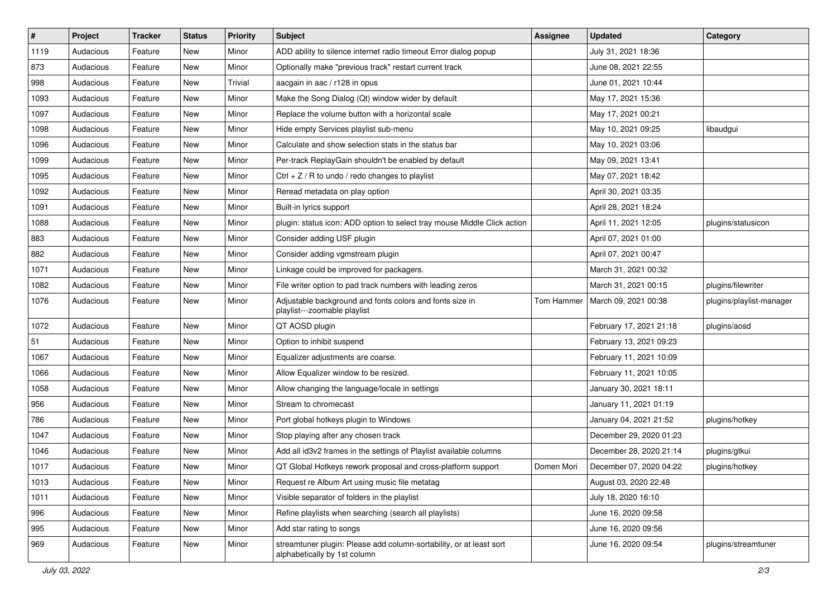| $\pmb{\#}$ | Project   | <b>Tracker</b> | <b>Status</b> | <b>Priority</b> | <b>Subject</b>                                                                                      | <b>Assignee</b> | <b>Updated</b>          | Category                 |
|------------|-----------|----------------|---------------|-----------------|-----------------------------------------------------------------------------------------------------|-----------------|-------------------------|--------------------------|
| 1119       | Audacious | Feature        | New           | Minor           | ADD ability to silence internet radio timeout Error dialog popup                                    |                 | July 31, 2021 18:36     |                          |
| 873        | Audacious | Feature        | New           | Minor           | Optionally make "previous track" restart current track                                              |                 | June 08, 2021 22:55     |                          |
| 998        | Audacious | Feature        | New           | Trivial         | aacgain in aac / r128 in opus                                                                       |                 | June 01, 2021 10:44     |                          |
| 1093       | Audacious | Feature        | New           | Minor           | Make the Song Dialog (Qt) window wider by default                                                   |                 | May 17, 2021 15:36      |                          |
| 1097       | Audacious | Feature        | New           | Minor           | Replace the volume button with a horizontal scale                                                   |                 | May 17, 2021 00:21      |                          |
| 1098       | Audacious | Feature        | New           | Minor           | Hide empty Services playlist sub-menu                                                               |                 | May 10, 2021 09:25      | libaudgui                |
| 1096       | Audacious | Feature        | New           | Minor           | Calculate and show selection stats in the status bar                                                |                 | May 10, 2021 03:06      |                          |
| 1099       | Audacious | Feature        | New           | Minor           | Per-track ReplayGain shouldn't be enabled by default                                                |                 | May 09, 2021 13:41      |                          |
| 1095       | Audacious | Feature        | New           | Minor           | Ctrl $+$ Z / R to undo / redo changes to playlist                                                   |                 | May 07, 2021 18:42      |                          |
| 1092       | Audacious | Feature        | New           | Minor           | Reread metadata on play option                                                                      |                 | April 30, 2021 03:35    |                          |
| 1091       | Audacious | Feature        | New           | Minor           | Built-in lyrics support                                                                             |                 | April 28, 2021 18:24    |                          |
| 1088       | Audacious | Feature        | New           | Minor           | plugin: status icon: ADD option to select tray mouse Middle Click action                            |                 | April 11, 2021 12:05    | plugins/statusicon       |
| 883        | Audacious | Feature        | New           | Minor           | Consider adding USF plugin                                                                          |                 | April 07, 2021 01:00    |                          |
| 882        | Audacious | Feature        | New           | Minor           | Consider adding vgmstream plugin                                                                    |                 | April 07, 2021 00:47    |                          |
| 1071       | Audacious | Feature        | New           | Minor           | Linkage could be improved for packagers.                                                            |                 | March 31, 2021 00:32    |                          |
| 1082       | Audacious | Feature        | New           | Minor           | File writer option to pad track numbers with leading zeros                                          |                 | March 31, 2021 00:15    | plugins/filewriter       |
| 1076       | Audacious | Feature        | New           | Minor           | Adjustable background and fonts colors and fonts size in<br>playlist---zoomable playlist            | Tom Hammer      | March 09, 2021 00:38    | plugins/playlist-manager |
| 1072       | Audacious | Feature        | New           | Minor           | QT AOSD plugin                                                                                      |                 | February 17, 2021 21:18 | plugins/aosd             |
| 51         | Audacious | Feature        | New           | Minor           | Option to inhibit suspend                                                                           |                 | February 13, 2021 09:23 |                          |
| 1067       | Audacious | Feature        | New           | Minor           | Equalizer adjustments are coarse.                                                                   |                 | February 11, 2021 10:09 |                          |
| 1066       | Audacious | Feature        | New           | Minor           | Allow Equalizer window to be resized.                                                               |                 | February 11, 2021 10:05 |                          |
| 1058       | Audacious | Feature        | New           | Minor           | Allow changing the language/locale in settings                                                      |                 | January 30, 2021 18:11  |                          |
| 956        | Audacious | Feature        | New           | Minor           | Stream to chromecast                                                                                |                 | January 11, 2021 01:19  |                          |
| 786        | Audacious | Feature        | New           | Minor           | Port global hotkeys plugin to Windows                                                               |                 | January 04, 2021 21:52  | plugins/hotkey           |
| 1047       | Audacious | Feature        | New           | Minor           | Stop playing after any chosen track                                                                 |                 | December 29, 2020 01:23 |                          |
| 1046       | Audacious | Feature        | New           | Minor           | Add all id3v2 frames in the settings of Playlist available columns                                  |                 | December 28, 2020 21:14 | plugins/gtkui            |
| 1017       | Audacious | Feature        | New           | Minor           | QT Global Hotkeys rework proposal and cross-platform support                                        | Domen Mori      | December 07, 2020 04:22 | plugins/hotkey           |
| 1013       | Audacious | Feature        | New           | Minor           | Request re Album Art using music file metatag                                                       |                 | August 03, 2020 22:48   |                          |
| 1011       | Audacious | Feature        | New           | Minor           | Visible separator of folders in the playlist                                                        |                 | July 18, 2020 16:10     |                          |
| 996        | Audacious | Feature        | New           | Minor           | Refine playlists when searching (search all playlists)                                              |                 | June 16, 2020 09:58     |                          |
| 995        | Audacious | Feature        | New           | Minor           | Add star rating to songs                                                                            |                 | June 16, 2020 09:56     |                          |
| 969        | Audacious | Feature        | New           | Minor           | streamtuner plugin: Please add column-sortability, or at least sort<br>alphabetically by 1st column |                 | June 16, 2020 09:54     | plugins/streamtuner      |